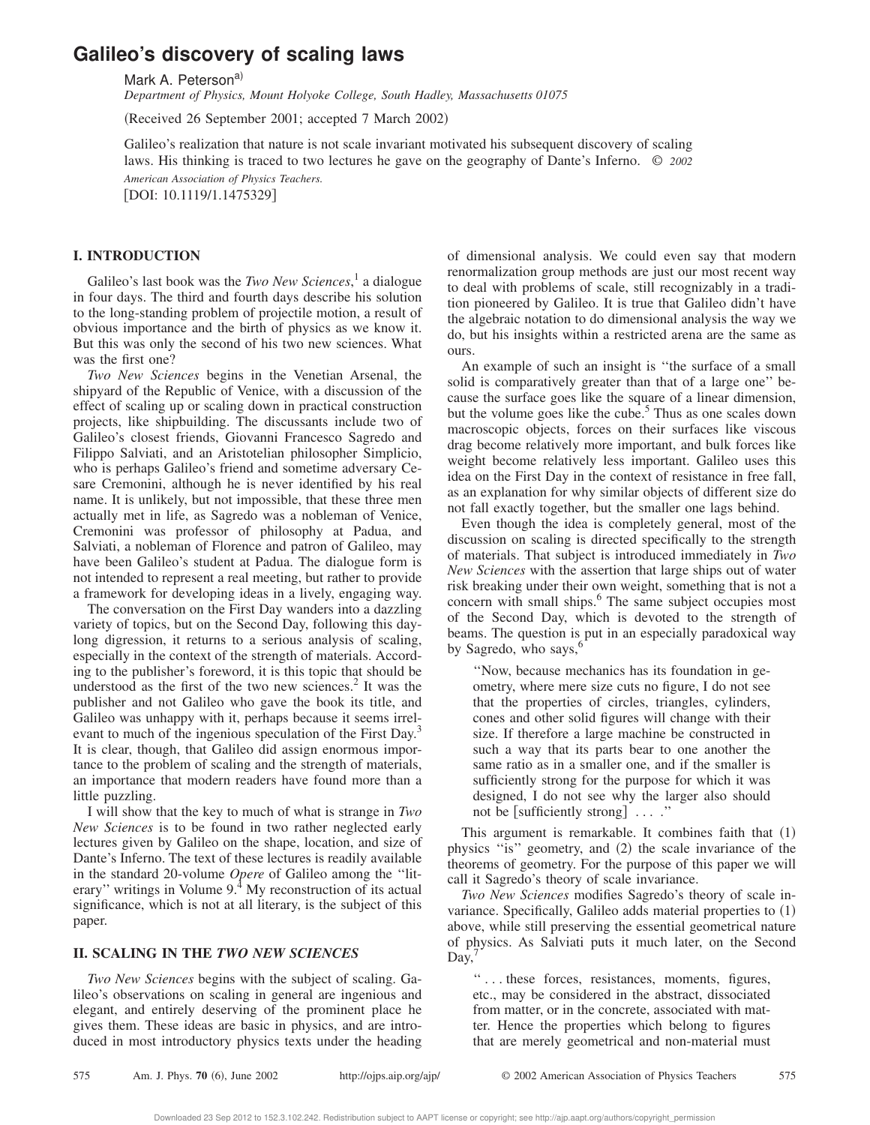# **Galileo's discovery of scaling laws**

Mark A. Peterson<sup>a)</sup>

*Department of Physics, Mount Holyoke College, South Hadley, Massachusetts 01075*

(Received 26 September 2001; accepted 7 March 2002)

Galileo's realization that nature is not scale invariant motivated his subsequent discovery of scaling laws. His thinking is traced to two lectures he gave on the geography of Dante's Inferno. © *2002 American Association of Physics Teachers.*

[DOI: 10.1119/1.1475329]

## **I. INTRODUCTION**

Galileo's last book was the *Two New Sciences*, 1 a dialogue in four days. The third and fourth days describe his solution to the long-standing problem of projectile motion, a result of obvious importance and the birth of physics as we know it. But this was only the second of his two new sciences. What was the first one?

*Two New Sciences* begins in the Venetian Arsenal, the shipyard of the Republic of Venice, with a discussion of the effect of scaling up or scaling down in practical construction projects, like shipbuilding. The discussants include two of Galileo's closest friends, Giovanni Francesco Sagredo and Filippo Salviati, and an Aristotelian philosopher Simplicio, who is perhaps Galileo's friend and sometime adversary Cesare Cremonini, although he is never identified by his real name. It is unlikely, but not impossible, that these three men actually met in life, as Sagredo was a nobleman of Venice, Cremonini was professor of philosophy at Padua, and Salviati, a nobleman of Florence and patron of Galileo, may have been Galileo's student at Padua. The dialogue form is not intended to represent a real meeting, but rather to provide a framework for developing ideas in a lively, engaging way.

The conversation on the First Day wanders into a dazzling variety of topics, but on the Second Day, following this daylong digression, it returns to a serious analysis of scaling, especially in the context of the strength of materials. According to the publisher's foreword, it is this topic that should be understood as the first of the two new sciences.<sup>2</sup> It was the publisher and not Galileo who gave the book its title, and Galileo was unhappy with it, perhaps because it seems irrelevant to much of the ingenious speculation of the First Day.<sup>3</sup> It is clear, though, that Galileo did assign enormous importance to the problem of scaling and the strength of materials, an importance that modern readers have found more than a little puzzling.

I will show that the key to much of what is strange in *Two New Sciences* is to be found in two rather neglected early lectures given by Galileo on the shape, location, and size of Dante's Inferno. The text of these lectures is readily available in the standard 20-volume *Opere* of Galileo among the ''literary'' writings in Volume  $9.4$  My reconstruction of its actual significance, which is not at all literary, is the subject of this paper.

## **II. SCALING IN THE** *TWO NEW SCIENCES*

*Two New Sciences* begins with the subject of scaling. Galileo's observations on scaling in general are ingenious and elegant, and entirely deserving of the prominent place he gives them. These ideas are basic in physics, and are introduced in most introductory physics texts under the heading of dimensional analysis. We could even say that modern renormalization group methods are just our most recent way to deal with problems of scale, still recognizably in a tradition pioneered by Galileo. It is true that Galileo didn't have the algebraic notation to do dimensional analysis the way we do, but his insights within a restricted arena are the same as ours.

An example of such an insight is ''the surface of a small solid is comparatively greater than that of a large one'' because the surface goes like the square of a linear dimension, but the volume goes like the cube.<sup>5</sup> Thus as one scales down macroscopic objects, forces on their surfaces like viscous drag become relatively more important, and bulk forces like weight become relatively less important. Galileo uses this idea on the First Day in the context of resistance in free fall, as an explanation for why similar objects of different size do not fall exactly together, but the smaller one lags behind.

Even though the idea is completely general, most of the discussion on scaling is directed specifically to the strength of materials. That subject is introduced immediately in *Two New Sciences* with the assertion that large ships out of water risk breaking under their own weight, something that is not a concern with small ships.<sup>6</sup> The same subject occupies most of the Second Day, which is devoted to the strength of beams. The question is put in an especially paradoxical way by Sagredo, who says,<sup>6</sup>

''Now, because mechanics has its foundation in geometry, where mere size cuts no figure, I do not see that the properties of circles, triangles, cylinders, cones and other solid figures will change with their size. If therefore a large machine be constructed in such a way that its parts bear to one another the same ratio as in a smaller one, and if the smaller is sufficiently strong for the purpose for which it was designed, I do not see why the larger also should not be [sufficiently strong]  $\dots$  ."

This argument is remarkable. It combines faith that  $(1)$ physics "is" geometry, and (2) the scale invariance of the theorems of geometry. For the purpose of this paper we will call it Sagredo's theory of scale invariance.

*Two New Sciences* modifies Sagredo's theory of scale invariance. Specifically, Galileo adds material properties to  $(1)$ above, while still preserving the essential geometrical nature of physics. As Salviati puts it much later, on the Second Day,

'' . . . these forces, resistances, moments, figures, etc., may be considered in the abstract, dissociated from matter, or in the concrete, associated with matter. Hence the properties which belong to figures that are merely geometrical and non-material must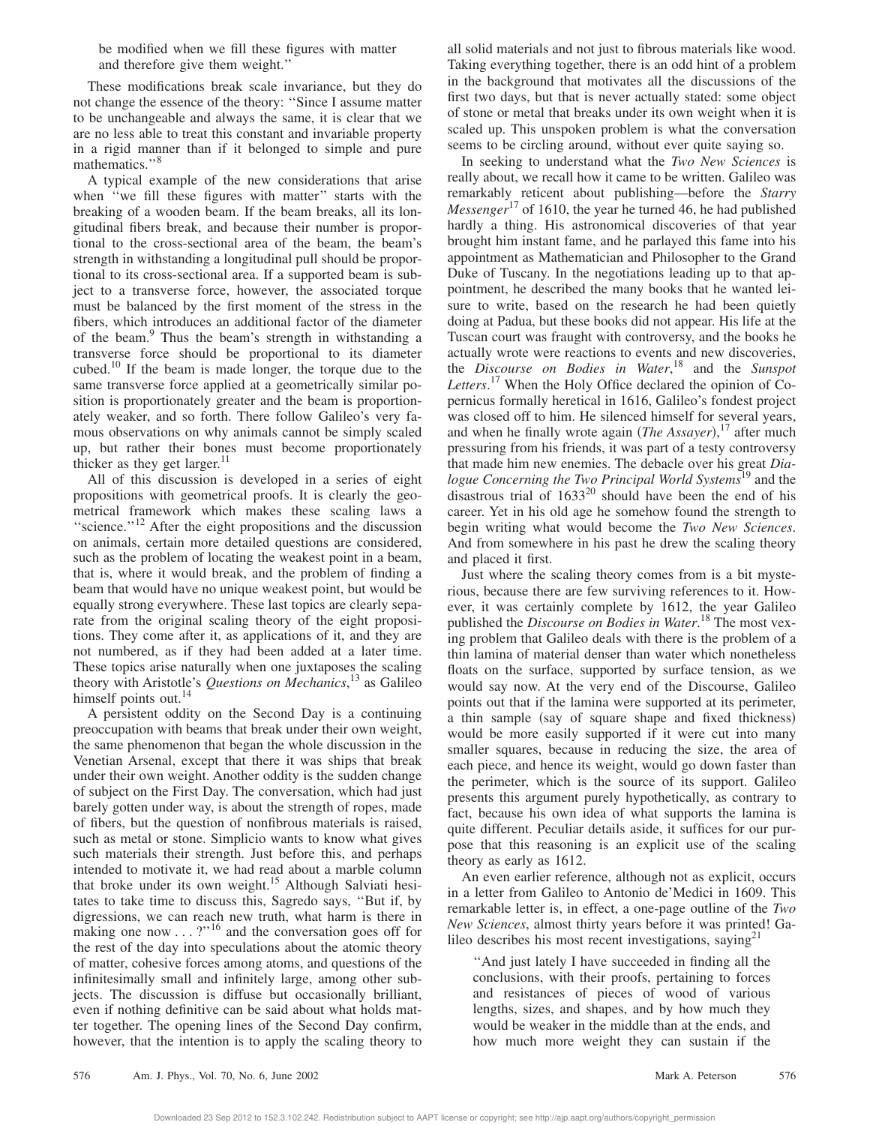be modified when we fill these figures with matter and therefore give them weight.''

These modifications break scale invariance, but they do not change the essence of the theory: ''Since I assume matter to be unchangeable and always the same, it is clear that we are no less able to treat this constant and invariable property in a rigid manner than if it belonged to simple and pure mathematics."<sup>8</sup>

A typical example of the new considerations that arise when "we fill these figures with matter" starts with the breaking of a wooden beam. If the beam breaks, all its longitudinal fibers break, and because their number is proportional to the cross-sectional area of the beam, the beam's strength in withstanding a longitudinal pull should be proportional to its cross-sectional area. If a supported beam is subject to a transverse force, however, the associated torque must be balanced by the first moment of the stress in the fibers, which introduces an additional factor of the diameter of the beam.<sup>9</sup> Thus the beam's strength in withstanding a transverse force should be proportional to its diameter cubed.<sup>10</sup> If the beam is made longer, the torque due to the same transverse force applied at a geometrically similar position is proportionately greater and the beam is proportionately weaker, and so forth. There follow Galileo's very famous observations on why animals cannot be simply scaled up, but rather their bones must become proportionately thicker as they get larger. $11$ 

All of this discussion is developed in a series of eight propositions with geometrical proofs. It is clearly the geometrical framework which makes these scaling laws a "science."<sup>12</sup> After the eight propositions and the discussion on animals, certain more detailed questions are considered, such as the problem of locating the weakest point in a beam, that is, where it would break, and the problem of finding a beam that would have no unique weakest point, but would be equally strong everywhere. These last topics are clearly separate from the original scaling theory of the eight propositions. They come after it, as applications of it, and they are not numbered, as if they had been added at a later time. These topics arise naturally when one juxtaposes the scaling theory with Aristotle's *Questions on Mechanics*, <sup>13</sup> as Galileo himself points out.<sup>14</sup>

A persistent oddity on the Second Day is a continuing preoccupation with beams that break under their own weight, the same phenomenon that began the whole discussion in the Venetian Arsenal, except that there it was ships that break under their own weight. Another oddity is the sudden change of subject on the First Day. The conversation, which had just barely gotten under way, is about the strength of ropes, made of fibers, but the question of nonfibrous materials is raised, such as metal or stone. Simplicio wants to know what gives such materials their strength. Just before this, and perhaps intended to motivate it, we had read about a marble column that broke under its own weight.<sup>15</sup> Although Salviati hesitates to take time to discuss this, Sagredo says, ''But if, by digressions, we can reach new truth, what harm is there in making one now  $\dots$  ?"<sup>16</sup> and the conversation goes off for the rest of the day into speculations about the atomic theory of matter, cohesive forces among atoms, and questions of the infinitesimally small and infinitely large, among other subjects. The discussion is diffuse but occasionally brilliant, even if nothing definitive can be said about what holds matter together. The opening lines of the Second Day confirm, however, that the intention is to apply the scaling theory to

all solid materials and not just to fibrous materials like wood. Taking everything together, there is an odd hint of a problem in the background that motivates all the discussions of the first two days, but that is never actually stated: some object of stone or metal that breaks under its own weight when it is scaled up. This unspoken problem is what the conversation seems to be circling around, without ever quite saying so.

In seeking to understand what the *Two New Sciences* is really about, we recall how it came to be written. Galileo was remarkably reticent about publishing—before the *Starry Messenger*<sup>17</sup> of 1610, the year he turned 46, he had published hardly a thing. His astronomical discoveries of that year brought him instant fame, and he parlayed this fame into his appointment as Mathematician and Philosopher to the Grand Duke of Tuscany. In the negotiations leading up to that appointment, he described the many books that he wanted leisure to write, based on the research he had been quietly doing at Padua, but these books did not appear. His life at the Tuscan court was fraught with controversy, and the books he actually wrote were reactions to events and new discoveries, the *Discourse on Bodies in Water*, <sup>18</sup> and the *Sunspot Letters*. <sup>17</sup> When the Holy Office declared the opinion of Copernicus formally heretical in 1616, Galileo's fondest project was closed off to him. He silenced himself for several years, and when he finally wrote again (*The Assayer*),<sup>17</sup> after much pressuring from his friends, it was part of a testy controversy that made him new enemies. The debacle over his great *Dialogue Concerning the Two Principal World Systems*<sup>19</sup> and the disastrous trial of  $1633^{20}$  should have been the end of his career. Yet in his old age he somehow found the strength to begin writing what would become the *Two New Sciences*. And from somewhere in his past he drew the scaling theory and placed it first.

Just where the scaling theory comes from is a bit mysterious, because there are few surviving references to it. However, it was certainly complete by 1612, the year Galileo published the *Discourse on Bodies in Water*. <sup>18</sup> The most vexing problem that Galileo deals with there is the problem of a thin lamina of material denser than water which nonetheless floats on the surface, supported by surface tension, as we would say now. At the very end of the Discourse, Galileo points out that if the lamina were supported at its perimeter, a thin sample (say of square shape and fixed thickness) would be more easily supported if it were cut into many smaller squares, because in reducing the size, the area of each piece, and hence its weight, would go down faster than the perimeter, which is the source of its support. Galileo presents this argument purely hypothetically, as contrary to fact, because his own idea of what supports the lamina is quite different. Peculiar details aside, it suffices for our purpose that this reasoning is an explicit use of the scaling theory as early as 1612.

An even earlier reference, although not as explicit, occurs in a letter from Galileo to Antonio de'Medici in 1609. This remarkable letter is, in effect, a one-page outline of the *Two New Sciences*, almost thirty years before it was printed! Galileo describes his most recent investigations, saying<sup>21</sup>

''And just lately I have succeeded in finding all the conclusions, with their proofs, pertaining to forces and resistances of pieces of wood of various lengths, sizes, and shapes, and by how much they would be weaker in the middle than at the ends, and how much more weight they can sustain if the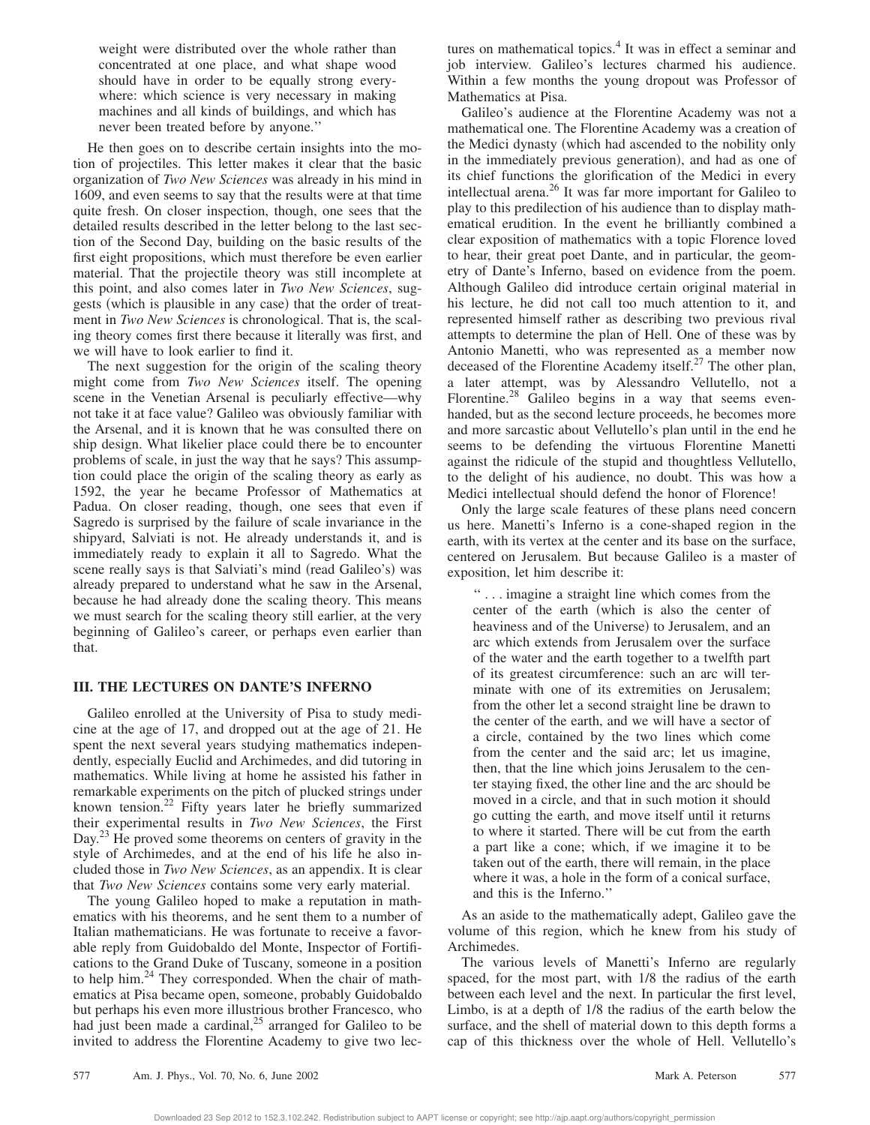weight were distributed over the whole rather than concentrated at one place, and what shape wood should have in order to be equally strong everywhere: which science is very necessary in making machines and all kinds of buildings, and which has never been treated before by anyone.''

He then goes on to describe certain insights into the motion of projectiles. This letter makes it clear that the basic organization of *Two New Sciences* was already in his mind in 1609, and even seems to say that the results were at that time quite fresh. On closer inspection, though, one sees that the detailed results described in the letter belong to the last section of the Second Day, building on the basic results of the first eight propositions, which must therefore be even earlier material. That the projectile theory was still incomplete at this point, and also comes later in *Two New Sciences*, suggests (which is plausible in any case) that the order of treatment in *Two New Sciences* is chronological. That is, the scaling theory comes first there because it literally was first, and we will have to look earlier to find it.

The next suggestion for the origin of the scaling theory might come from *Two New Sciences* itself. The opening scene in the Venetian Arsenal is peculiarly effective—why not take it at face value? Galileo was obviously familiar with the Arsenal, and it is known that he was consulted there on ship design. What likelier place could there be to encounter problems of scale, in just the way that he says? This assumption could place the origin of the scaling theory as early as 1592, the year he became Professor of Mathematics at Padua. On closer reading, though, one sees that even if Sagredo is surprised by the failure of scale invariance in the shipyard, Salviati is not. He already understands it, and is immediately ready to explain it all to Sagredo. What the scene really says is that Salviati's mind (read Galileo's) was already prepared to understand what he saw in the Arsenal, because he had already done the scaling theory. This means we must search for the scaling theory still earlier, at the very beginning of Galileo's career, or perhaps even earlier than that.

### **III. THE LECTURES ON DANTE'S INFERNO**

Galileo enrolled at the University of Pisa to study medicine at the age of 17, and dropped out at the age of 21. He spent the next several years studying mathematics independently, especially Euclid and Archimedes, and did tutoring in mathematics. While living at home he assisted his father in remarkable experiments on the pitch of plucked strings under known tension.<sup>22</sup> Fifty years later he briefly summarized their experimental results in *Two New Sciences*, the First Day.<sup>23</sup> He proved some theorems on centers of gravity in the style of Archimedes, and at the end of his life he also included those in *Two New Sciences*, as an appendix. It is clear that *Two New Sciences* contains some very early material.

The young Galileo hoped to make a reputation in mathematics with his theorems, and he sent them to a number of Italian mathematicians. He was fortunate to receive a favorable reply from Guidobaldo del Monte, Inspector of Fortifications to the Grand Duke of Tuscany, someone in a position to help him.<sup>24</sup> They corresponded. When the chair of mathematics at Pisa became open, someone, probably Guidobaldo but perhaps his even more illustrious brother Francesco, who had just been made a cardinal, $2<sup>5</sup>$  arranged for Galileo to be invited to address the Florentine Academy to give two lec-

tures on mathematical topics.<sup>4</sup> It was in effect a seminar and job interview. Galileo's lectures charmed his audience. Within a few months the young dropout was Professor of Mathematics at Pisa.

Galileo's audience at the Florentine Academy was not a mathematical one. The Florentine Academy was a creation of the Medici dynasty (which had ascended to the nobility only in the immediately previous generation), and had as one of its chief functions the glorification of the Medici in every intellectual arena. $^{26}$  It was far more important for Galileo to play to this predilection of his audience than to display mathematical erudition. In the event he brilliantly combined a clear exposition of mathematics with a topic Florence loved to hear, their great poet Dante, and in particular, the geometry of Dante's Inferno, based on evidence from the poem. Although Galileo did introduce certain original material in his lecture, he did not call too much attention to it, and represented himself rather as describing two previous rival attempts to determine the plan of Hell. One of these was by Antonio Manetti, who was represented as a member now deceased of the Florentine Academy itself.<sup>27</sup> The other plan, a later attempt, was by Alessandro Vellutello, not a Florentine.<sup>28</sup> Galileo begins in a way that seems evenhanded, but as the second lecture proceeds, he becomes more and more sarcastic about Vellutello's plan until in the end he seems to be defending the virtuous Florentine Manetti against the ridicule of the stupid and thoughtless Vellutello, to the delight of his audience, no doubt. This was how a Medici intellectual should defend the honor of Florence!

Only the large scale features of these plans need concern us here. Manetti's Inferno is a cone-shaped region in the earth, with its vertex at the center and its base on the surface, centered on Jerusalem. But because Galileo is a master of exposition, let him describe it:

'' . . . imagine a straight line which comes from the center of the earth (which is also the center of heaviness and of the Universe) to Jerusalem, and an arc which extends from Jerusalem over the surface of the water and the earth together to a twelfth part of its greatest circumference: such an arc will terminate with one of its extremities on Jerusalem; from the other let a second straight line be drawn to the center of the earth, and we will have a sector of a circle, contained by the two lines which come from the center and the said arc; let us imagine, then, that the line which joins Jerusalem to the center staying fixed, the other line and the arc should be moved in a circle, and that in such motion it should go cutting the earth, and move itself until it returns to where it started. There will be cut from the earth a part like a cone; which, if we imagine it to be taken out of the earth, there will remain, in the place where it was, a hole in the form of a conical surface, and this is the Inferno.''

As an aside to the mathematically adept, Galileo gave the volume of this region, which he knew from his study of Archimedes.

The various levels of Manetti's Inferno are regularly spaced, for the most part, with 1/8 the radius of the earth between each level and the next. In particular the first level, Limbo, is at a depth of 1/8 the radius of the earth below the surface, and the shell of material down to this depth forms a cap of this thickness over the whole of Hell. Vellutello's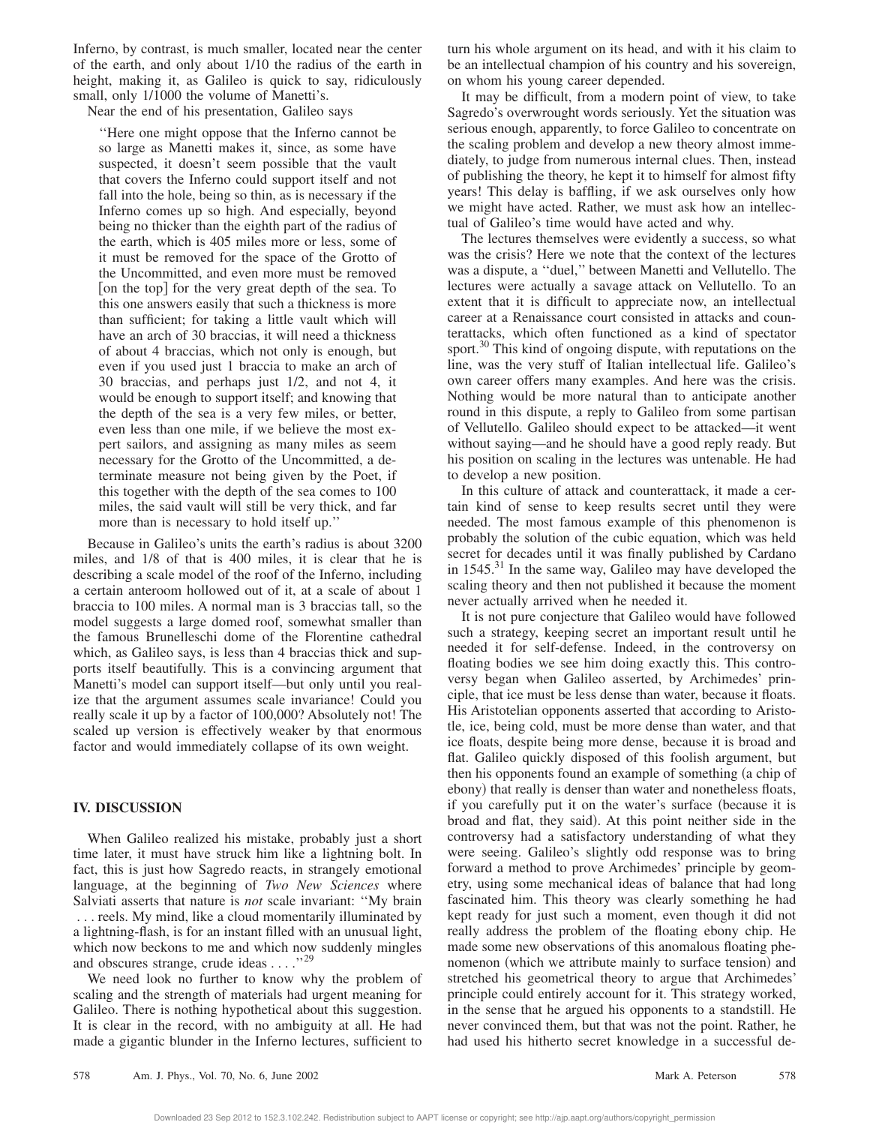Inferno, by contrast, is much smaller, located near the center of the earth, and only about 1/10 the radius of the earth in height, making it, as Galileo is quick to say, ridiculously small, only  $1/1000$  the volume of Manetti's.

Near the end of his presentation, Galileo says

''Here one might oppose that the Inferno cannot be so large as Manetti makes it, since, as some have suspected, it doesn't seem possible that the vault that covers the Inferno could support itself and not fall into the hole, being so thin, as is necessary if the Inferno comes up so high. And especially, beyond being no thicker than the eighth part of the radius of the earth, which is 405 miles more or less, some of it must be removed for the space of the Grotto of the Uncommitted, and even more must be removed [on the top] for the very great depth of the sea. To this one answers easily that such a thickness is more than sufficient; for taking a little vault which will have an arch of 30 braccias, it will need a thickness of about 4 braccias, which not only is enough, but even if you used just 1 braccia to make an arch of 30 braccias, and perhaps just 1/2, and not 4, it would be enough to support itself; and knowing that the depth of the sea is a very few miles, or better, even less than one mile, if we believe the most expert sailors, and assigning as many miles as seem necessary for the Grotto of the Uncommitted, a determinate measure not being given by the Poet, if this together with the depth of the sea comes to 100 miles, the said vault will still be very thick, and far more than is necessary to hold itself up.''

Because in Galileo's units the earth's radius is about 3200 miles, and 1/8 of that is 400 miles, it is clear that he is describing a scale model of the roof of the Inferno, including a certain anteroom hollowed out of it, at a scale of about 1 braccia to 100 miles. A normal man is 3 braccias tall, so the model suggests a large domed roof, somewhat smaller than the famous Brunelleschi dome of the Florentine cathedral which, as Galileo says, is less than 4 braccias thick and supports itself beautifully. This is a convincing argument that Manetti's model can support itself—but only until you realize that the argument assumes scale invariance! Could you really scale it up by a factor of 100,000? Absolutely not! The scaled up version is effectively weaker by that enormous factor and would immediately collapse of its own weight.

#### **IV. DISCUSSION**

When Galileo realized his mistake, probably just a short time later, it must have struck him like a lightning bolt. In fact, this is just how Sagredo reacts, in strangely emotional language, at the beginning of *Two New Sciences* where Salviati asserts that nature is *not* scale invariant: ''My brain . . . reels. My mind, like a cloud momentarily illuminated by a lightning-flash, is for an instant filled with an unusual light, which now beckons to me and which now suddenly mingles and obscures strange, crude ideas . . . . "29"

We need look no further to know why the problem of scaling and the strength of materials had urgent meaning for Galileo. There is nothing hypothetical about this suggestion. It is clear in the record, with no ambiguity at all. He had made a gigantic blunder in the Inferno lectures, sufficient to turn his whole argument on its head, and with it his claim to be an intellectual champion of his country and his sovereign, on whom his young career depended.

It may be difficult, from a modern point of view, to take Sagredo's overwrought words seriously. Yet the situation was serious enough, apparently, to force Galileo to concentrate on the scaling problem and develop a new theory almost immediately, to judge from numerous internal clues. Then, instead of publishing the theory, he kept it to himself for almost fifty years! This delay is baffling, if we ask ourselves only how we might have acted. Rather, we must ask how an intellectual of Galileo's time would have acted and why.

The lectures themselves were evidently a success, so what was the crisis? Here we note that the context of the lectures was a dispute, a ''duel,'' between Manetti and Vellutello. The lectures were actually a savage attack on Vellutello. To an extent that it is difficult to appreciate now, an intellectual career at a Renaissance court consisted in attacks and counterattacks, which often functioned as a kind of spectator sport.<sup>30</sup> This kind of ongoing dispute, with reputations on the line, was the very stuff of Italian intellectual life. Galileo's own career offers many examples. And here was the crisis. Nothing would be more natural than to anticipate another round in this dispute, a reply to Galileo from some partisan of Vellutello. Galileo should expect to be attacked—it went without saying—and he should have a good reply ready. But his position on scaling in the lectures was untenable. He had to develop a new position.

In this culture of attack and counterattack, it made a certain kind of sense to keep results secret until they were needed. The most famous example of this phenomenon is probably the solution of the cubic equation, which was held secret for decades until it was finally published by Cardano in  $1545<sup>31</sup>$  In the same way, Galileo may have developed the scaling theory and then not published it because the moment never actually arrived when he needed it.

It is not pure conjecture that Galileo would have followed such a strategy, keeping secret an important result until he needed it for self-defense. Indeed, in the controversy on floating bodies we see him doing exactly this. This controversy began when Galileo asserted, by Archimedes' principle, that ice must be less dense than water, because it floats. His Aristotelian opponents asserted that according to Aristotle, ice, being cold, must be more dense than water, and that ice floats, despite being more dense, because it is broad and flat. Galileo quickly disposed of this foolish argument, but then his opponents found an example of something (a chip of ebony) that really is denser than water and nonetheless floats, if you carefully put it on the water's surface (because it is broad and flat, they said). At this point neither side in the controversy had a satisfactory understanding of what they were seeing. Galileo's slightly odd response was to bring forward a method to prove Archimedes' principle by geometry, using some mechanical ideas of balance that had long fascinated him. This theory was clearly something he had kept ready for just such a moment, even though it did not really address the problem of the floating ebony chip. He made some new observations of this anomalous floating phenomenon (which we attribute mainly to surface tension) and stretched his geometrical theory to argue that Archimedes' principle could entirely account for it. This strategy worked, in the sense that he argued his opponents to a standstill. He never convinced them, but that was not the point. Rather, he had used his hitherto secret knowledge in a successful de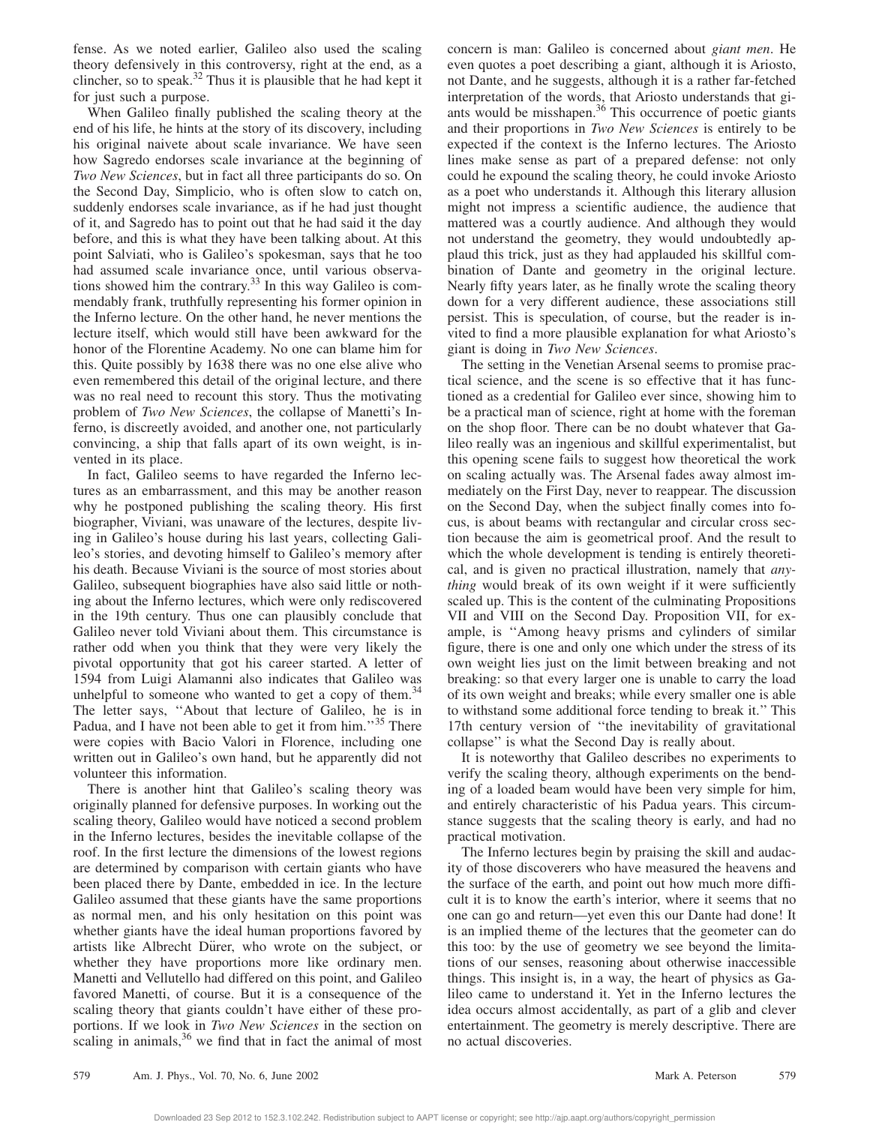fense. As we noted earlier, Galileo also used the scaling theory defensively in this controversy, right at the end, as a clincher, so to speak. $32$  Thus it is plausible that he had kept it for just such a purpose.

When Galileo finally published the scaling theory at the end of his life, he hints at the story of its discovery, including his original naivete about scale invariance. We have seen how Sagredo endorses scale invariance at the beginning of *Two New Sciences*, but in fact all three participants do so. On the Second Day, Simplicio, who is often slow to catch on, suddenly endorses scale invariance, as if he had just thought of it, and Sagredo has to point out that he had said it the day before, and this is what they have been talking about. At this point Salviati, who is Galileo's spokesman, says that he too had assumed scale invariance once, until various observations showed him the contrary. $33$  In this way Galileo is commendably frank, truthfully representing his former opinion in the Inferno lecture. On the other hand, he never mentions the lecture itself, which would still have been awkward for the honor of the Florentine Academy. No one can blame him for this. Quite possibly by 1638 there was no one else alive who even remembered this detail of the original lecture, and there was no real need to recount this story. Thus the motivating problem of *Two New Sciences*, the collapse of Manetti's Inferno, is discreetly avoided, and another one, not particularly convincing, a ship that falls apart of its own weight, is invented in its place.

In fact, Galileo seems to have regarded the Inferno lectures as an embarrassment, and this may be another reason why he postponed publishing the scaling theory. His first biographer, Viviani, was unaware of the lectures, despite living in Galileo's house during his last years, collecting Galileo's stories, and devoting himself to Galileo's memory after his death. Because Viviani is the source of most stories about Galileo, subsequent biographies have also said little or nothing about the Inferno lectures, which were only rediscovered in the 19th century. Thus one can plausibly conclude that Galileo never told Viviani about them. This circumstance is rather odd when you think that they were very likely the pivotal opportunity that got his career started. A letter of 1594 from Luigi Alamanni also indicates that Galileo was unhelpful to someone who wanted to get a copy of them.<sup>34</sup> The letter says, ''About that lecture of Galileo, he is in Padua, and I have not been able to get it from him."<sup>35</sup> There were copies with Bacio Valori in Florence, including one written out in Galileo's own hand, but he apparently did not volunteer this information.

There is another hint that Galileo's scaling theory was originally planned for defensive purposes. In working out the scaling theory, Galileo would have noticed a second problem in the Inferno lectures, besides the inevitable collapse of the roof. In the first lecture the dimensions of the lowest regions are determined by comparison with certain giants who have been placed there by Dante, embedded in ice. In the lecture Galileo assumed that these giants have the same proportions as normal men, and his only hesitation on this point was whether giants have the ideal human proportions favored by artists like Albrecht Dürer, who wrote on the subject, or whether they have proportions more like ordinary men. Manetti and Vellutello had differed on this point, and Galileo favored Manetti, of course. But it is a consequence of the scaling theory that giants couldn't have either of these proportions. If we look in *Two New Sciences* in the section on scaling in animals,  $36$  we find that in fact the animal of most

concern is man: Galileo is concerned about *giant men*. He even quotes a poet describing a giant, although it is Ariosto, not Dante, and he suggests, although it is a rather far-fetched interpretation of the words, that Ariosto understands that giants would be misshapen.<sup>36</sup> This occurrence of poetic giants and their proportions in *Two New Sciences* is entirely to be expected if the context is the Inferno lectures. The Ariosto lines make sense as part of a prepared defense: not only could he expound the scaling theory, he could invoke Ariosto as a poet who understands it. Although this literary allusion might not impress a scientific audience, the audience that mattered was a courtly audience. And although they would not understand the geometry, they would undoubtedly applaud this trick, just as they had applauded his skillful combination of Dante and geometry in the original lecture. Nearly fifty years later, as he finally wrote the scaling theory down for a very different audience, these associations still persist. This is speculation, of course, but the reader is invited to find a more plausible explanation for what Ariosto's giant is doing in *Two New Sciences*.

The setting in the Venetian Arsenal seems to promise practical science, and the scene is so effective that it has functioned as a credential for Galileo ever since, showing him to be a practical man of science, right at home with the foreman on the shop floor. There can be no doubt whatever that Galileo really was an ingenious and skillful experimentalist, but this opening scene fails to suggest how theoretical the work on scaling actually was. The Arsenal fades away almost immediately on the First Day, never to reappear. The discussion on the Second Day, when the subject finally comes into focus, is about beams with rectangular and circular cross section because the aim is geometrical proof. And the result to which the whole development is tending is entirely theoretical, and is given no practical illustration, namely that *anything* would break of its own weight if it were sufficiently scaled up. This is the content of the culminating Propositions VII and VIII on the Second Day. Proposition VII, for example, is ''Among heavy prisms and cylinders of similar figure, there is one and only one which under the stress of its own weight lies just on the limit between breaking and not breaking: so that every larger one is unable to carry the load of its own weight and breaks; while every smaller one is able to withstand some additional force tending to break it.'' This 17th century version of ''the inevitability of gravitational collapse'' is what the Second Day is really about.

It is noteworthy that Galileo describes no experiments to verify the scaling theory, although experiments on the bending of a loaded beam would have been very simple for him, and entirely characteristic of his Padua years. This circumstance suggests that the scaling theory is early, and had no practical motivation.

The Inferno lectures begin by praising the skill and audacity of those discoverers who have measured the heavens and the surface of the earth, and point out how much more difficult it is to know the earth's interior, where it seems that no one can go and return—yet even this our Dante had done! It is an implied theme of the lectures that the geometer can do this too: by the use of geometry we see beyond the limitations of our senses, reasoning about otherwise inaccessible things. This insight is, in a way, the heart of physics as Galileo came to understand it. Yet in the Inferno lectures the idea occurs almost accidentally, as part of a glib and clever entertainment. The geometry is merely descriptive. There are no actual discoveries.